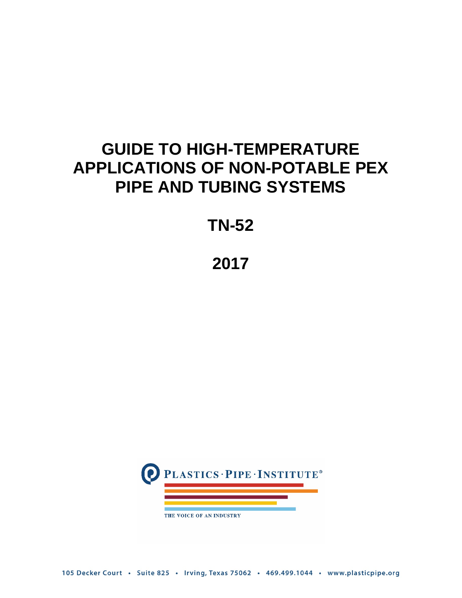# **GUIDE TO HIGH-TEMPERATURE APPLICATIONS OF NON-POTABLE PEX PIPE AND TUBING SYSTEMS**

## **TN-52**

# **2017**



105 Decker Court · Suite 825 · Irving, Texas 75062 · 469.499.1044 · www.plasticpipe.org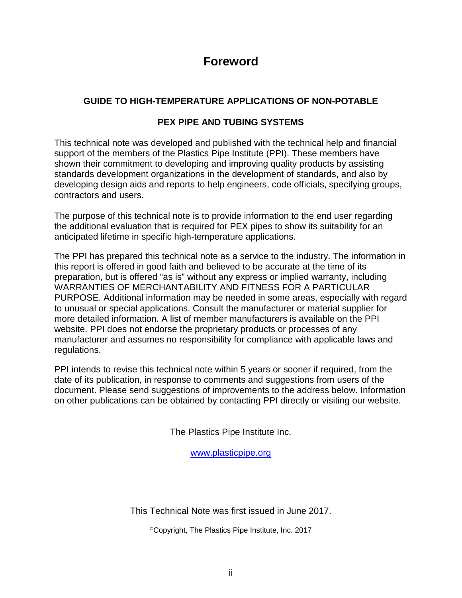## **Foreword**

## **GUIDE TO HIGH-TEMPERATURE APPLICATIONS OF NON-POTABLE**

## **PEX PIPE AND TUBING SYSTEMS**

This technical note was developed and published with the technical help and financial support of the members of the Plastics Pipe Institute (PPI). These members have shown their commitment to developing and improving quality products by assisting standards development organizations in the development of standards, and also by developing design aids and reports to help engineers, code officials, specifying groups, contractors and users.

The purpose of this technical note is to provide information to the end user regarding the additional evaluation that is required for PEX pipes to show its suitability for an anticipated lifetime in specific high-temperature applications.

The PPI has prepared this technical note as a service to the industry. The information in this report is offered in good faith and believed to be accurate at the time of its preparation, but is offered "as is" without any express or implied warranty, including WARRANTIES OF MERCHANTABILITY AND FITNESS FOR A PARTICULAR PURPOSE. Additional information may be needed in some areas, especially with regard to unusual or special applications. Consult the manufacturer or material supplier for more detailed information. A list of member manufacturers is available on the PPI website. PPI does not endorse the proprietary products or processes of any manufacturer and assumes no responsibility for compliance with applicable laws and regulations.

PPI intends to revise this technical note within 5 years or sooner if required, from the date of its publication, in response to comments and suggestions from users of the document. Please send suggestions of improvements to the address below. Information on other publications can be obtained by contacting PPI directly or visiting our website.

The Plastics Pipe Institute Inc.

[www.plasticpipe.org](http://www.plasticpipe.org/)

This Technical Note was first issued in June 2017.

©Copyright, The Plastics Pipe Institute, Inc. 2017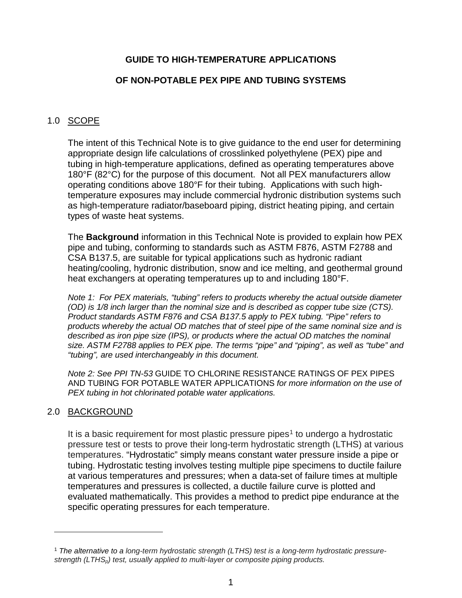### **GUIDE TO HIGH-TEMPERATURE APPLICATIONS**

#### **OF NON-POTABLE PEX PIPE AND TUBING SYSTEMS**

#### 1.0 SCOPE

The intent of this Technical Note is to give guidance to the end user for determining appropriate design life calculations of crosslinked polyethylene (PEX) pipe and tubing in high-temperature applications, defined as operating temperatures above 180°F (82°C) for the purpose of this document. Not all PEX manufacturers allow operating conditions above 180°F for their tubing. Applications with such hightemperature exposures may include commercial hydronic distribution systems such as high-temperature radiator/baseboard piping, district heating piping, and certain types of waste heat systems.

The **Background** information in this Technical Note is provided to explain how PEX pipe and tubing, conforming to standards such as ASTM F876, ASTM F2788 and CSA B137.5, are suitable for typical applications such as hydronic radiant heating/cooling, hydronic distribution, snow and ice melting, and geothermal ground heat exchangers at operating temperatures up to and including 180°F.

*Note 1: For PEX materials, "tubing" refers to products whereby the actual outside diameter (OD) is 1/8 inch larger than the nominal size and is described as copper tube size (CTS). Product standards ASTM F876 and CSA B137.5 apply to PEX tubing. "Pipe" refers to products whereby the actual OD matches that of steel pipe of the same nominal size and is described as iron pipe size (IPS), or products where the actual OD matches the nominal size. ASTM F2788 applies to PEX pipe. The terms "pipe" and "piping", as well as "tube" and "tubing", are used interchangeably in this document.*

*Note 2: See PPI TN-53* GUIDE TO CHLORINE RESISTANCE RATINGS OF PEX PIPES AND TUBING FOR POTABLE WATER APPLICATIONS *for more information on the use of PEX tubing in hot chlorinated potable water applications.*

#### 2.0 BACKGROUND

 $\overline{a}$ 

It is a basic requirement for most plastic pressure pipes<sup>[1](#page-2-0)</sup> to undergo a hydrostatic pressure test or tests to prove their long-term hydrostatic strength (LTHS) at various temperatures. "Hydrostatic" simply means constant water pressure inside a pipe or tubing. Hydrostatic testing involves testing multiple pipe specimens to ductile failure at various temperatures and pressures; when a data-set of failure times at multiple temperatures and pressures is collected, a ductile failure curve is plotted and evaluated mathematically. This provides a method to predict pipe endurance at the specific operating pressures for each temperature.

<span id="page-2-0"></span><sup>1</sup> *The alternative to a long-term hydrostatic strength (LTHS) test is a long-term hydrostatic pressurestrength (LTHSp) test, usually applied to multi-layer or composite piping products.*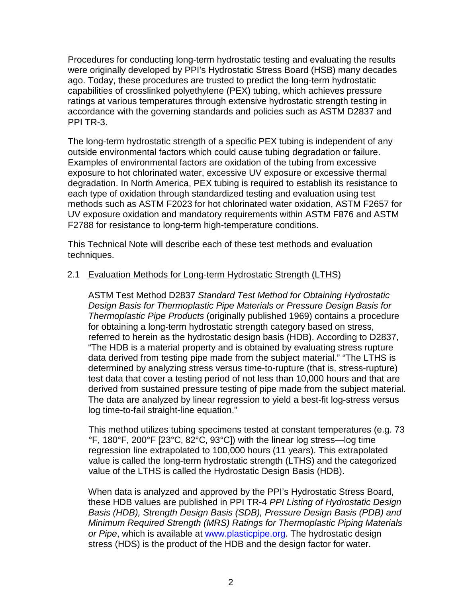Procedures for conducting long-term hydrostatic testing and evaluating the results were originally developed by PPI's Hydrostatic Stress Board (HSB) many decades ago. Today, these procedures are trusted to predict the long-term hydrostatic capabilities of crosslinked polyethylene (PEX) tubing, which achieves pressure ratings at various temperatures through extensive hydrostatic strength testing in accordance with the governing standards and policies such as ASTM D2837 and PPI TR-3.

The long-term hydrostatic strength of a specific PEX tubing is independent of any outside environmental factors which could cause tubing degradation or failure. Examples of environmental factors are oxidation of the tubing from excessive exposure to hot chlorinated water, excessive UV exposure or excessive thermal degradation. In North America, PEX tubing is required to establish its resistance to each type of oxidation through standardized testing and evaluation using test methods such as ASTM F2023 for hot chlorinated water oxidation, ASTM F2657 for UV exposure oxidation and mandatory requirements within ASTM F876 and ASTM F2788 for resistance to long-term high-temperature conditions.

This Technical Note will describe each of these test methods and evaluation techniques.

#### 2.1 Evaluation Methods for Long-term Hydrostatic Strength (LTHS)

ASTM Test Method D2837 *Standard Test Method for Obtaining Hydrostatic Design Basis for Thermoplastic Pipe Materials or Pressure Design Basis for Thermoplastic Pipe Products* (originally published 1969) contains a procedure for obtaining a long-term hydrostatic strength category based on stress, referred to herein as the hydrostatic design basis (HDB). According to D2837, "The HDB is a material property and is obtained by evaluating stress rupture data derived from testing pipe made from the subject material." "The LTHS is determined by analyzing stress versus time-to-rupture (that is, stress-rupture) test data that cover a testing period of not less than 10,000 hours and that are derived from sustained pressure testing of pipe made from the subject material. The data are analyzed by linear regression to yield a best-fit log-stress versus log time-to-fail straight-line equation."

This method utilizes tubing specimens tested at constant temperatures (e.g. 73 °F, 180°F, 200°F [23°C, 82°C, 93°C]) with the linear log stress—log time regression line extrapolated to 100,000 hours (11 years). This extrapolated value is called the long-term hydrostatic strength (LTHS) and the categorized value of the LTHS is called the Hydrostatic Design Basis (HDB).

When data is analyzed and approved by the PPI's Hydrostatic Stress Board, these HDB values are published in PPI TR-4 *PPI Listing of Hydrostatic Design Basis (HDB), Strength Design Basis (SDB), Pressure Design Basis (PDB) and Minimum Required Strength (MRS) Ratings for Thermoplastic Piping Materials or Pipe*, which is available at [www.plasticpipe.org.](http://www.plasticpipe.org/) The hydrostatic design stress (HDS) is the product of the HDB and the design factor for water.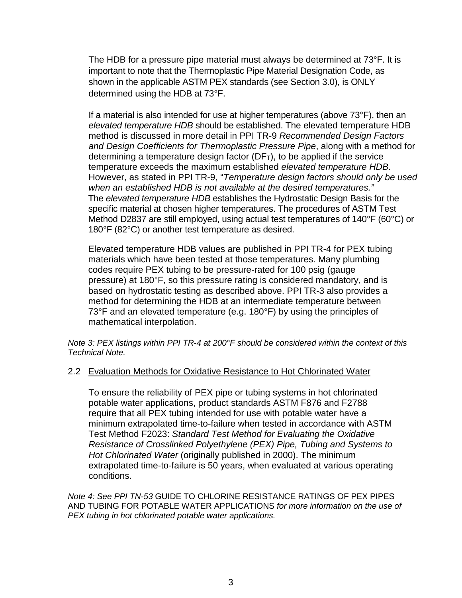The HDB for a pressure pipe material must always be determined at 73°F. It is important to note that the Thermoplastic Pipe Material Designation Code, as shown in the applicable ASTM PEX standards (see Section 3.0), is ONLY determined using the HDB at 73°F.

If a material is also intended for use at higher temperatures (above 73°F), then an *elevated temperature HDB* should be established. The elevated temperature HDB method is discussed in more detail in PPI TR-9 *Recommended Design Factors and Design Coefficients for Thermoplastic Pressure Pipe*, along with a method for determining a temperature design factor  $(DF<sub>T</sub>)$ , to be applied if the service temperature exceeds the maximum established *elevated temperature HDB*. However, as stated in PPI TR-9, "*Temperature design factors should only be used when an established HDB is not available at the desired temperatures."* The *elevated temperature HDB* establishes the Hydrostatic Design Basis for the specific material at chosen higher temperatures. The procedures of ASTM Test Method D2837 are still employed, using actual test temperatures of 140°F (60°C) or 180°F (82°C) or another test temperature as desired.

Elevated temperature HDB values are published in PPI TR-4 for PEX tubing materials which have been tested at those temperatures. Many plumbing codes require PEX tubing to be pressure-rated for 100 psig (gauge pressure) at 180°F, so this pressure rating is considered mandatory, and is based on hydrostatic testing as described above. PPI TR-3 also provides a method for determining the HDB at an intermediate temperature between 73°F and an elevated temperature (e.g. 180°F) by using the principles of mathematical interpolation.

#### *Note 3: PEX listings within PPI TR-4 at 200°F should be considered within the context of this Technical Note.*

#### 2.2 Evaluation Methods for Oxidative Resistance to Hot Chlorinated Water

To ensure the reliability of PEX pipe or tubing systems in hot chlorinated potable water applications, product standards ASTM F876 and F2788 require that all PEX tubing intended for use with potable water have a minimum extrapolated time-to-failure when tested in accordance with ASTM Test Method F2023: *Standard Test Method for Evaluating the Oxidative Resistance of Crosslinked Polyethylene (PEX) Pipe, Tubing and Systems to Hot Chlorinated Water* (originally published in 2000). The minimum extrapolated time-to-failure is 50 years, when evaluated at various operating conditions.

*Note 4: See PPI TN-53* GUIDE TO CHLORINE RESISTANCE RATINGS OF PEX PIPES AND TUBING FOR POTABLE WATER APPLICATIONS *for more information on the use of PEX tubing in hot chlorinated potable water applications.*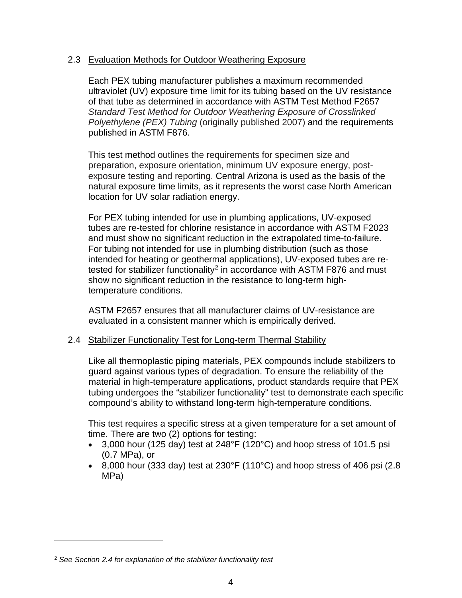#### 2.3 Evaluation Methods for Outdoor Weathering Exposure

Each PEX tubing manufacturer publishes a maximum recommended ultraviolet (UV) exposure time limit for its tubing based on the UV resistance of that tube as determined in accordance with ASTM Test Method F2657 *Standard Test Method for Outdoor Weathering Exposure of Crosslinked Polyethylene (PEX) Tubing* (originally published 2007) and the requirements published in ASTM F876.

This test method outlines the requirements for specimen size and preparation, exposure orientation, minimum UV exposure energy, postexposure testing and reporting. Central Arizona is used as the basis of the natural exposure time limits, as it represents the worst case North American location for UV solar radiation energy.

For PEX tubing intended for use in plumbing applications, UV-exposed tubes are re-tested for chlorine resistance in accordance with ASTM F2023 and must show no significant reduction in the extrapolated time-to-failure. For tubing not intended for use in plumbing distribution (such as those intended for heating or geothermal applications), UV-exposed tubes are re-tested for stabilizer functionality<sup>[2](#page-5-0)</sup> in accordance with ASTM F876 and must show no significant reduction in the resistance to long-term hightemperature conditions.

ASTM F2657 ensures that all manufacturer claims of UV-resistance are evaluated in a consistent manner which is empirically derived.

#### 2.4 Stabilizer Functionality Test for Long-term Thermal Stability

Like all thermoplastic piping materials, PEX compounds include stabilizers to guard against various types of degradation. To ensure the reliability of the material in high-temperature applications, product standards require that PEX tubing undergoes the "stabilizer functionality" test to demonstrate each specific compound's ability to withstand long-term high-temperature conditions.

This test requires a specific stress at a given temperature for a set amount of time. There are two (2) options for testing:

- 3,000 hour (125 day) test at 248°F (120°C) and hoop stress of 101.5 psi (0.7 MPa), or
- 8,000 hour (333 day) test at 230 $\degree$ F (110 $\degree$ C) and hoop stress of 406 psi (2.8 MPa)

 $\overline{a}$ 

<span id="page-5-0"></span><sup>2</sup> *See Section 2.4 for explanation of the stabilizer functionality test*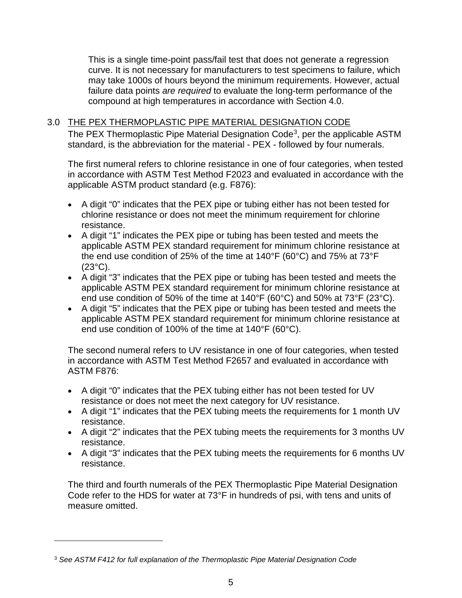This is a single time-point pass/fail test that does not generate a regression curve. It is not necessary for manufacturers to test specimens to failure, which may take 1000s of hours beyond the minimum requirements. However, actual failure data points *are required* to evaluate the long-term performance of the compound at high temperatures in accordance with Section 4.0.

#### 3.0 THE PEX THERMOPLASTIC PIPE MATERIAL DESIGNATION CODE

The PEX Thermoplastic Pipe Material Designation Code<sup>3</sup>, per the applicable ASTM standard, is the abbreviation for the material - PEX - followed by four numerals.

The first numeral refers to chlorine resistance in one of four categories, when tested in accordance with ASTM Test Method F2023 and evaluated in accordance with the applicable ASTM product standard (e.g. F876):

- A digit "0" indicates that the PEX pipe or tubing either has not been tested for chlorine resistance or does not meet the minimum requirement for chlorine resistance.
- A digit "1" indicates the PEX pipe or tubing has been tested and meets the applicable ASTM PEX standard requirement for minimum chlorine resistance at the end use condition of 25% of the time at 140°F (60°C) and 75% at 73°F (23°C).
- A digit "3" indicates that the PEX pipe or tubing has been tested and meets the applicable ASTM PEX standard requirement for minimum chlorine resistance at end use condition of 50% of the time at 140°F (60°C) and 50% at 73°F (23°C).
- A digit "5" indicates that the PEX pipe or tubing has been tested and meets the applicable ASTM PEX standard requirement for minimum chlorine resistance at end use condition of 100% of the time at 140°F (60°C).

The second numeral refers to UV resistance in one of four categories, when tested in accordance with ASTM Test Method F2657 and evaluated in accordance with ASTM F876:

- A digit "0" indicates that the PEX tubing either has not been tested for UV resistance or does not meet the next category for UV resistance.
- A digit "1" indicates that the PEX tubing meets the requirements for 1 month UV resistance.
- A digit "2" indicates that the PEX tubing meets the requirements for 3 months UV resistance.
- A digit "3" indicates that the PEX tubing meets the requirements for 6 months UV resistance.

The third and fourth numerals of the PEX Thermoplastic Pipe Material Designation Code refer to the HDS for water at 73°F in hundreds of psi, with tens and units of measure omitted.

 $\overline{a}$ 

<span id="page-6-0"></span><sup>3</sup> *See ASTM F412 for full explanation of the Thermoplastic Pipe Material Designation Code*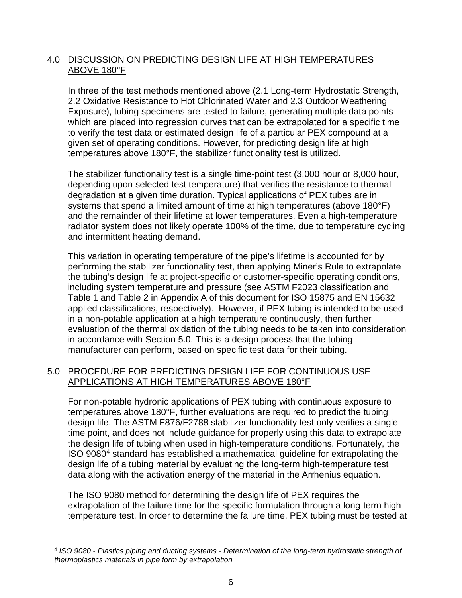### 4.0 DISCUSSION ON PREDICTING DESIGN LIFE AT HIGH TEMPERATURES ABOVE 180°F

In three of the test methods mentioned above (2.1 Long-term Hydrostatic Strength, 2.2 Oxidative Resistance to Hot Chlorinated Water and 2.3 Outdoor Weathering Exposure), tubing specimens are tested to failure, generating multiple data points which are placed into regression curves that can be extrapolated for a specific time to verify the test data or estimated design life of a particular PEX compound at a given set of operating conditions. However, for predicting design life at high temperatures above 180°F, the stabilizer functionality test is utilized.

The stabilizer functionality test is a single time-point test (3,000 hour or 8,000 hour, depending upon selected test temperature) that verifies the resistance to thermal degradation at a given time duration. Typical applications of PEX tubes are in systems that spend a limited amount of time at high temperatures (above 180°F) and the remainder of their lifetime at lower temperatures. Even a high-temperature radiator system does not likely operate 100% of the time, due to temperature cycling and intermittent heating demand.

This variation in operating temperature of the pipe's lifetime is accounted for by performing the stabilizer functionality test, then applying Miner's Rule to extrapolate the tubing's design life at project-specific or customer-specific operating conditions, including system temperature and pressure (see ASTM F2023 classification and Table 1 and Table 2 in Appendix A of this document for ISO 15875 and EN 15632 applied classifications, respectively). However, if PEX tubing is intended to be used in a non-potable application at a high temperature continuously, then further evaluation of the thermal oxidation of the tubing needs to be taken into consideration in accordance with Section 5.0. This is a design process that the tubing manufacturer can perform, based on specific test data for their tubing.

### 5.0 PROCEDURE FOR PREDICTING DESIGN LIFE FOR CONTINUOUS USE APPLICATIONS AT HIGH TEMPERATURES ABOVE 180°F

For non-potable hydronic applications of PEX tubing with continuous exposure to temperatures above 180°F, further evaluations are required to predict the tubing design life. The ASTM F876/F2788 stabilizer functionality test only verifies a single time point, and does not include guidance for properly using this data to extrapolate the design life of tubing when used in high-temperature conditions. Fortunately, the ISO 9080[4](#page-7-0) standard has established a mathematical guideline for extrapolating the design life of a tubing material by evaluating the long-term high-temperature test data along with the activation energy of the material in the Arrhenius equation.

The ISO 9080 method for determining the design life of PEX requires the extrapolation of the failure time for the specific formulation through a long-term hightemperature test. In order to determine the failure time, PEX tubing must be tested at

 $\overline{a}$ 

<span id="page-7-0"></span><sup>4</sup> *ISO 9080 - Plastics piping and ducting systems - Determination of the long-term hydrostatic strength of thermoplastics materials in pipe form by extrapolation*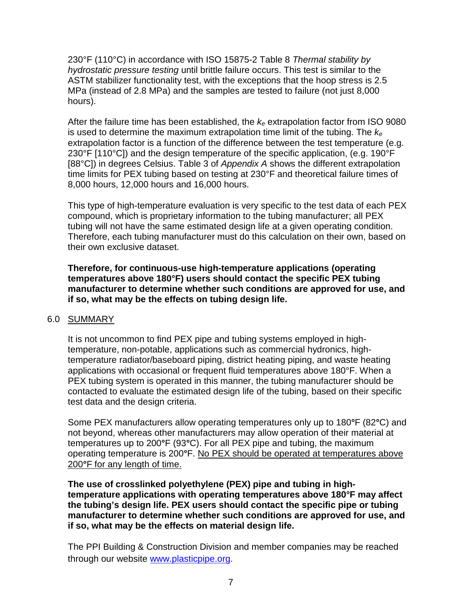230°F (110°C) in accordance with ISO 15875-2 Table 8 *Thermal stability by hydrostatic pressure testing* until brittle failure occurs. This test is similar to the ASTM stabilizer functionality test, with the exceptions that the hoop stress is 2.5 MPa (instead of 2.8 MPa) and the samples are tested to failure (not just 8,000 hours).

After the failure time has been established, the *ke* extrapolation factor from ISO 9080 is used to determine the maximum extrapolation time limit of the tubing. The *ke* extrapolation factor is a function of the difference between the test temperature (e.g. 230°F [110°C]) and the design temperature of the specific application, (e.g. 190°F [88°C]) in degrees Celsius. Table 3 of *Appendix A* shows the different extrapolation time limits for PEX tubing based on testing at 230°F and theoretical failure times of 8,000 hours, 12,000 hours and 16,000 hours.

This type of high-temperature evaluation is very specific to the test data of each PEX compound, which is proprietary information to the tubing manufacturer; all PEX tubing will not have the same estimated design life at a given operating condition. Therefore, each tubing manufacturer must do this calculation on their own, based on their own exclusive dataset.

**Therefore, for continuous-use high-temperature applications (operating temperatures above 180°F) users should contact the specific PEX tubing manufacturer to determine whether such conditions are approved for use, and if so, what may be the effects on tubing design life.**

#### 6.0 SUMMARY

It is not uncommon to find PEX pipe and tubing systems employed in hightemperature, non-potable, applications such as commercial hydronics, hightemperature radiator/baseboard piping, district heating piping, and waste heating applications with occasional or frequent fluid temperatures above 180°F. When a PEX tubing system is operated in this manner, the tubing manufacturer should be contacted to evaluate the estimated design life of the tubing, based on their specific test data and the design criteria.

Some PEX manufacturers allow operating temperatures only up to 180**°**F (82**°**C) and not beyond, whereas other manufacturers may allow operation of their material at temperatures up to 200**°**F (93**°**C). For all PEX pipe and tubing, the maximum operating temperature is 200**°**F. No PEX should be operated at temperatures above 200**°**F for any length of time.

**The use of crosslinked polyethylene (PEX) pipe and tubing in hightemperature applications with operating temperatures above 180°F may affect the tubing's design life. PEX users should contact the specific pipe or tubing manufacturer to determine whether such conditions are approved for use, and if so, what may be the effects on material design life.**

The PPI Building & Construction Division and member companies may be reached through our website [www.plasticpipe.org.](http://www.plasticpipe.org/)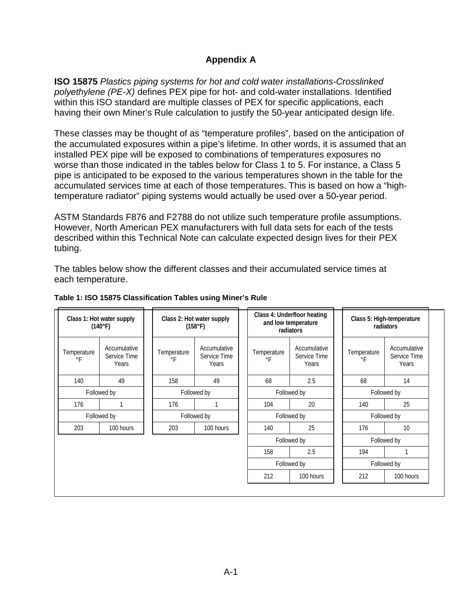## **Appendix A**

**ISO 15875** *Plastics piping systems for hot and cold water installations-Crosslinked polyethylene (PE-X)* defines PEX pipe for hot- and cold-water installations. Identified within this ISO standard are multiple classes of PEX for specific applications, each having their own Miner's Rule calculation to justify the 50-year anticipated design life.

These classes may be thought of as "temperature profiles", based on the anticipation of the accumulated exposures within a pipe's lifetime. In other words, it is assumed that an installed PEX pipe will be exposed to combinations of temperatures exposures no worse than those indicated in the tables below for Class 1 to 5. For instance, a Class 5 pipe is anticipated to be exposed to the various temperatures shown in the table for the accumulated services time at each of those temperatures. This is based on how a "hightemperature radiator" piping systems would actually be used over a 50-year period.

ASTM Standards F876 and F2788 do not utilize such temperature profile assumptions. However, North American PEX manufacturers with full data sets for each of the tests described within this Technical Note can calculate expected design lives for their PEX tubing.

The tables below show the different classes and their accumulated service times at each temperature.

| Class 1: Hot water supply<br>(140°F) |                                       | Class 2: Hot water supply<br>(158°F)                              |           |                          | Class 4: Underfloor heating<br>and low temperature<br>radiators |             |                          |                                       | Class 5: High-temperature<br>radiators |  |
|--------------------------------------|---------------------------------------|-------------------------------------------------------------------|-----------|--------------------------|-----------------------------------------------------------------|-------------|--------------------------|---------------------------------------|----------------------------------------|--|
| Temperature<br>$\circ$ F             | Accumulative<br>Service Time<br>Years | Accumulative<br>Temperature<br>Service Time<br>$\circ$ F<br>Years |           | Temperature<br>$\circ$ F | Accumulative<br>Service Time<br>Years                           |             | Temperature<br>$\circ$ F | Accumulative<br>Service Time<br>Years |                                        |  |
| 140                                  | 49                                    | 158                                                               | 49        |                          | 68                                                              | 2.5         |                          | 68                                    | 14                                     |  |
| Followed by                          |                                       | Followed by                                                       |           |                          | Followed by                                                     |             |                          | Followed by                           |                                        |  |
| 176                                  | 1                                     | 176                                                               |           |                          | 104                                                             | 20          |                          | 140                                   | 25                                     |  |
| Followed by                          |                                       | Followed by                                                       |           |                          | Followed by                                                     |             |                          | Followed by                           |                                        |  |
| 203                                  | 100 hours                             | 203                                                               | 100 hours |                          | 140                                                             | 25          |                          | 176                                   | 10                                     |  |
|                                      |                                       |                                                                   |           |                          |                                                                 | Followed by |                          |                                       | Followed by                            |  |
|                                      |                                       |                                                                   |           |                          | 158                                                             | 2.5         |                          | 194                                   |                                        |  |
|                                      |                                       |                                                                   |           |                          | Followed by                                                     |             |                          | Followed by                           |                                        |  |
|                                      |                                       |                                                                   |           |                          | 212                                                             | 100 hours   |                          | 212                                   | 100 hours                              |  |

#### **Table 1: ISO 15875 Classification Tables using Miner's Rule**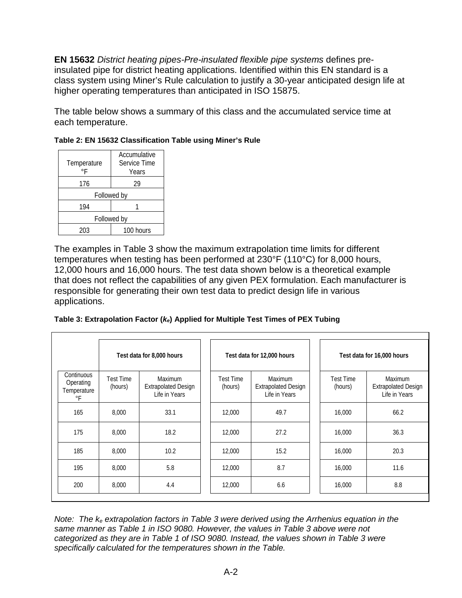**EN 15632** *District heating pipes-Pre-insulated flexible pipe systems* defines preinsulated pipe for district heating applications. Identified within this EN standard is a class system using Miner's Rule calculation to justify a 30-year anticipated design life at higher operating temperatures than anticipated in ISO 15875.

The table below shows a summary of this class and the accumulated service time at each temperature.

| Temperature | Accumulative<br>Service Time<br>Years |  |  |  |  |  |  |
|-------------|---------------------------------------|--|--|--|--|--|--|
| 176         | 29                                    |  |  |  |  |  |  |
| Followed by |                                       |  |  |  |  |  |  |
| 194         |                                       |  |  |  |  |  |  |
| Followed by |                                       |  |  |  |  |  |  |
| ንበ3         | 100 hours                             |  |  |  |  |  |  |

|  | Table 2: EN 15632 Classification Table using Miner's Rule |  |  |
|--|-----------------------------------------------------------|--|--|
|  |                                                           |  |  |

The examples in Table 3 show the maximum extrapolation time limits for different temperatures when testing has been performed at 230°F (110°C) for 8,000 hours, 12,000 hours and 16,000 hours. The test data shown below is a theoretical example that does not reflect the capabilities of any given PEX formulation. Each manufacturer is responsible for generating their own test data to predict design life in various applications.

| Table 3: Extrapolation Factor (ke) Applied for Multiple Test Times of PEX Tubing |  |  |  |
|----------------------------------------------------------------------------------|--|--|--|
|                                                                                  |  |  |  |

|                                              | Test data for 8,000 hours |                                                               |  | Test data for 12,000 hours |                                                               |  | Test data for 16,000 hours  |                                                               |  |
|----------------------------------------------|---------------------------|---------------------------------------------------------------|--|----------------------------|---------------------------------------------------------------|--|-----------------------------|---------------------------------------------------------------|--|
| Continuous<br>Operating<br>Temperature<br>°F | Test Time<br>(hours)      | <b>Maximum</b><br><b>Extrapolated Design</b><br>Life in Years |  | Test Time<br>(hours)       | <b>Maximum</b><br><b>Extrapolated Design</b><br>Life in Years |  | <b>Test Time</b><br>(hours) | <b>Maximum</b><br><b>Extrapolated Design</b><br>Life in Years |  |
| 165                                          | 8,000                     | 33.1                                                          |  | 12,000                     | 49.7                                                          |  | 16,000                      | 66.2                                                          |  |
| 175                                          | 8.000                     | 18.2                                                          |  | 12,000                     | 27.2                                                          |  | 16,000                      | 36.3                                                          |  |
| 185                                          | 8,000                     | 10.2                                                          |  | 12,000                     | 15.2                                                          |  | 16,000                      | 20.3                                                          |  |
| 195                                          | 8,000                     | 5.8                                                           |  | 12,000                     | 8.7                                                           |  | 16,000                      | 11.6                                                          |  |
| 200                                          | 8,000                     | 4.4                                                           |  | 12,000                     | 6.6                                                           |  | 16,000                      | 8.8                                                           |  |

*Note: The ke extrapolation factors in Table 3 were derived using the Arrhenius equation in the same manner as Table 1 in ISO 9080. However, the values in Table 3 above were not categorized as they are in Table 1 of ISO 9080. Instead, the values shown in Table 3 were specifically calculated for the temperatures shown in the Table.*